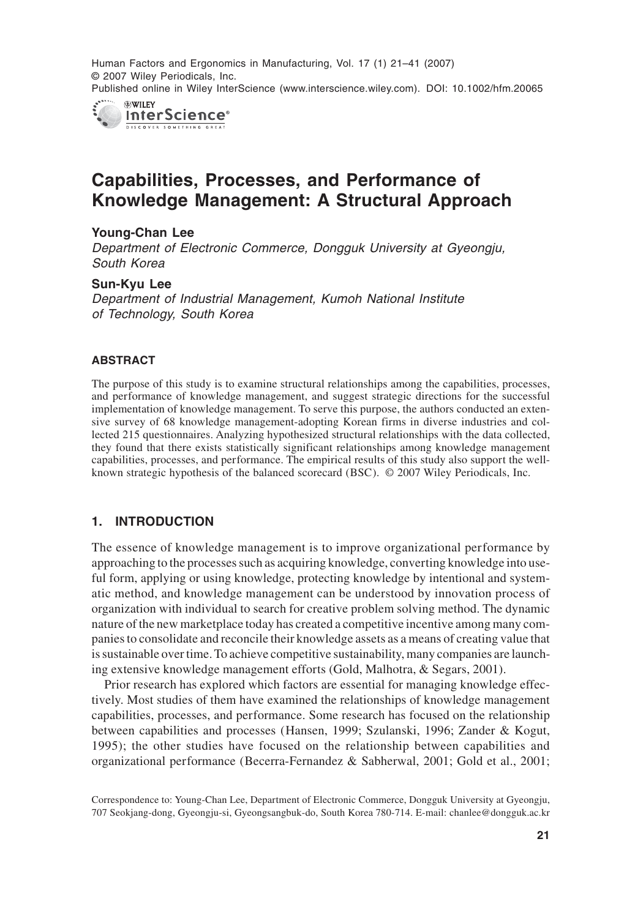Human Factors and Ergonomics in Manufacturing, Vol. 17 (1) 21–41 (2007) © 2007 Wiley Periodicals, Inc.

Published online in Wiley InterScience (www.interscience.wiley.com). DOI: 10.1002/hfm.20065



# **Capabilities, Processes, and Performance of Knowledge Management: A Structural Approach**

# **Young-Chan Lee**

*Department of Electronic Commerce, Dongguk University at Gyeongju, South Korea*

#### **Sun-Kyu Lee**

*Department of Industrial Management, Kumoh National Institute of Technology, South Korea*

## **ABSTRACT**

The purpose of this study is to examine structural relationships among the capabilities, processes, and performance of knowledge management, and suggest strategic directions for the successful implementation of knowledge management. To serve this purpose, the authors conducted an extensive survey of 68 knowledge management-adopting Korean firms in diverse industries and collected 215 questionnaires. Analyzing hypothesized structural relationships with the data collected, they found that there exists statistically significant relationships among knowledge management capabilities, processes, and performance. The empirical results of this study also support the wellknown strategic hypothesis of the balanced scorecard (BSC). © 2007 Wiley Periodicals, Inc.

## **1. INTRODUCTION**

The essence of knowledge management is to improve organizational performance by approaching to the processes such as acquiring knowledge, converting knowledge into useful form, applying or using knowledge, protecting knowledge by intentional and systematic method, and knowledge management can be understood by innovation process of organization with individual to search for creative problem solving method. The dynamic nature of the new marketplace today has created a competitive incentive among many companies to consolidate and reconcile their knowledge assets as a means of creating value that is sustainable over time. To achieve competitive sustainability, many companies are launching extensive knowledge management efforts (Gold, Malhotra, & Segars, 2001).

Prior research has explored which factors are essential for managing knowledge effectively. Most studies of them have examined the relationships of knowledge management capabilities, processes, and performance. Some research has focused on the relationship between capabilities and processes (Hansen, 1999; Szulanski, 1996; Zander & Kogut, 1995); the other studies have focused on the relationship between capabilities and organizational performance (Becerra-Fernandez & Sabherwal, 2001; Gold et al., 2001;

Correspondence to: Young-Chan Lee, Department of Electronic Commerce, Dongguk University at Gyeongju, 707 Seokjang-dong, Gyeongju-si, Gyeongsangbuk-do, South Korea 780-714. E-mail: chanlee@dongguk.ac.kr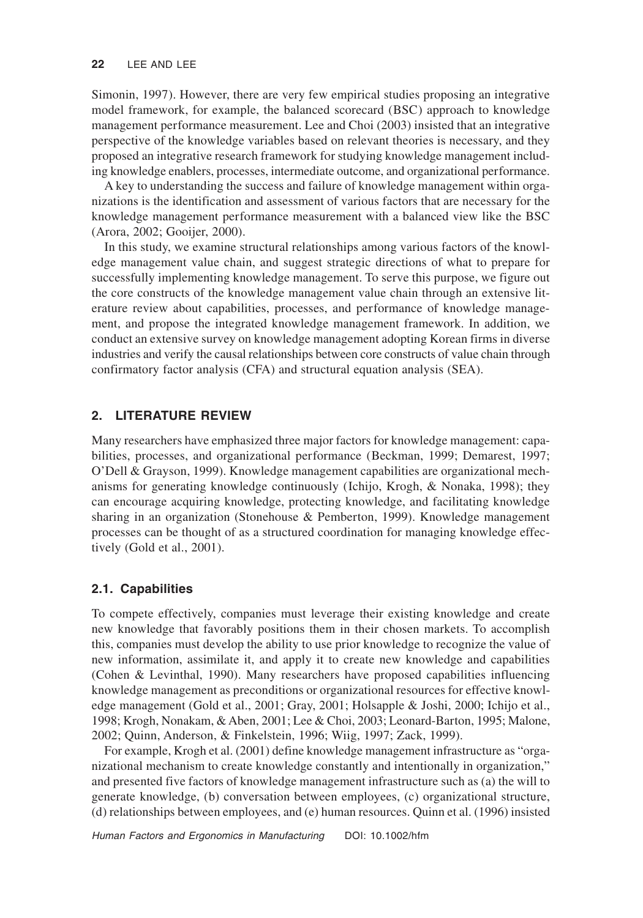Simonin, 1997). However, there are very few empirical studies proposing an integrative model framework, for example, the balanced scorecard (BSC) approach to knowledge management performance measurement. Lee and Choi (2003) insisted that an integrative perspective of the knowledge variables based on relevant theories is necessary, and they proposed an integrative research framework for studying knowledge management including knowledge enablers, processes, intermediate outcome, and organizational performance.

A key to understanding the success and failure of knowledge management within organizations is the identification and assessment of various factors that are necessary for the knowledge management performance measurement with a balanced view like the BSC (Arora, 2002; Gooijer, 2000).

In this study, we examine structural relationships among various factors of the knowledge management value chain, and suggest strategic directions of what to prepare for successfully implementing knowledge management. To serve this purpose, we figure out the core constructs of the knowledge management value chain through an extensive literature review about capabilities, processes, and performance of knowledge management, and propose the integrated knowledge management framework. In addition, we conduct an extensive survey on knowledge management adopting Korean firms in diverse industries and verify the causal relationships between core constructs of value chain through confirmatory factor analysis (CFA) and structural equation analysis (SEA).

## **2. LITERATURE REVIEW**

Many researchers have emphasized three major factors for knowledge management: capabilities, processes, and organizational performance (Beckman, 1999; Demarest, 1997; O'Dell & Grayson, 1999). Knowledge management capabilities are organizational mechanisms for generating knowledge continuously (Ichijo, Krogh, & Nonaka, 1998); they can encourage acquiring knowledge, protecting knowledge, and facilitating knowledge sharing in an organization (Stonehouse & Pemberton, 1999). Knowledge management processes can be thought of as a structured coordination for managing knowledge effectively (Gold et al., 2001).

## **2.1. Capabilities**

To compete effectively, companies must leverage their existing knowledge and create new knowledge that favorably positions them in their chosen markets. To accomplish this, companies must develop the ability to use prior knowledge to recognize the value of new information, assimilate it, and apply it to create new knowledge and capabilities (Cohen & Levinthal, 1990). Many researchers have proposed capabilities influencing knowledge management as preconditions or organizational resources for effective knowledge management (Gold et al., 2001; Gray, 2001; Holsapple & Joshi, 2000; Ichijo et al., 1998; Krogh, Nonakam, & Aben, 2001; Lee & Choi, 2003; Leonard-Barton, 1995; Malone, 2002; Quinn, Anderson, & Finkelstein, 1996; Wiig, 1997; Zack, 1999).

For example, Krogh et al. (2001) define knowledge management infrastructure as "organizational mechanism to create knowledge constantly and intentionally in organization," and presented five factors of knowledge management infrastructure such as (a) the will to generate knowledge, (b) conversation between employees, (c) organizational structure, (d) relationships between employees, and (e) human resources. Quinn et al. (1996) insisted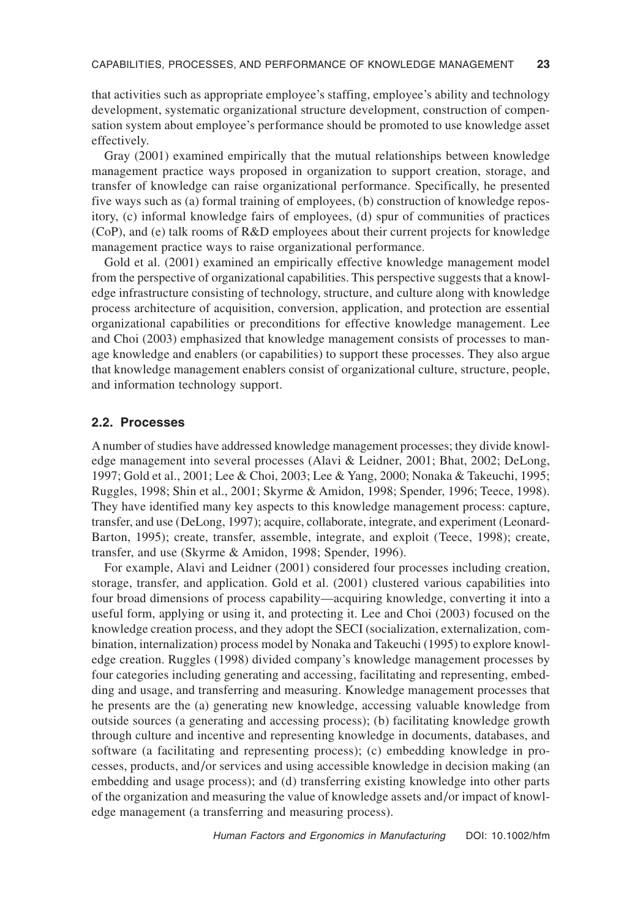that activities such as appropriate employee's staffing, employee's ability and technology development, systematic organizational structure development, construction of compensation system about employee's performance should be promoted to use knowledge asset effectively.

Gray (2001) examined empirically that the mutual relationships between knowledge management practice ways proposed in organization to support creation, storage, and transfer of knowledge can raise organizational performance. Specifically, he presented five ways such as (a) formal training of employees, (b) construction of knowledge repository, (c) informal knowledge fairs of employees, (d) spur of communities of practices (CoP), and (e) talk rooms of R&D employees about their current projects for knowledge management practice ways to raise organizational performance.

Gold et al. (2001) examined an empirically effective knowledge management model from the perspective of organizational capabilities. This perspective suggests that a knowledge infrastructure consisting of technology, structure, and culture along with knowledge process architecture of acquisition, conversion, application, and protection are essential organizational capabilities or preconditions for effective knowledge management. Lee and Choi (2003) emphasized that knowledge management consists of processes to manage knowledge and enablers (or capabilities) to support these processes. They also argue that knowledge management enablers consist of organizational culture, structure, people, and information technology support.

#### **2.2. Processes**

A number of studies have addressed knowledge management processes; they divide knowledge management into several processes (Alavi & Leidner, 2001; Bhat, 2002; DeLong, 1997; Gold et al., 2001; Lee & Choi, 2003; Lee & Yang, 2000; Nonaka & Takeuchi, 1995; Ruggles, 1998; Shin et al., 2001; Skyrme & Amidon, 1998; Spender, 1996; Teece, 1998). They have identified many key aspects to this knowledge management process: capture, transfer, and use (DeLong, 1997); acquire, collaborate, integrate, and experiment (Leonard-Barton, 1995); create, transfer, assemble, integrate, and exploit (Teece, 1998); create, transfer, and use (Skyrme & Amidon, 1998; Spender, 1996).

For example, Alavi and Leidner (2001) considered four processes including creation, storage, transfer, and application. Gold et al. (2001) clustered various capabilities into four broad dimensions of process capability—acquiring knowledge, converting it into a useful form, applying or using it, and protecting it. Lee and Choi (2003) focused on the knowledge creation process, and they adopt the SECI (socialization, externalization, combination, internalization) process model by Nonaka and Takeuchi (1995) to explore knowledge creation. Ruggles (1998) divided company's knowledge management processes by four categories including generating and accessing, facilitating and representing, embedding and usage, and transferring and measuring. Knowledge management processes that he presents are the (a) generating new knowledge, accessing valuable knowledge from outside sources (a generating and accessing process); (b) facilitating knowledge growth through culture and incentive and representing knowledge in documents, databases, and software (a facilitating and representing process); (c) embedding knowledge in processes, products, and/or services and using accessible knowledge in decision making (an embedding and usage process); and (d) transferring existing knowledge into other parts of the organization and measuring the value of knowledge assets and/or impact of knowledge management (a transferring and measuring process).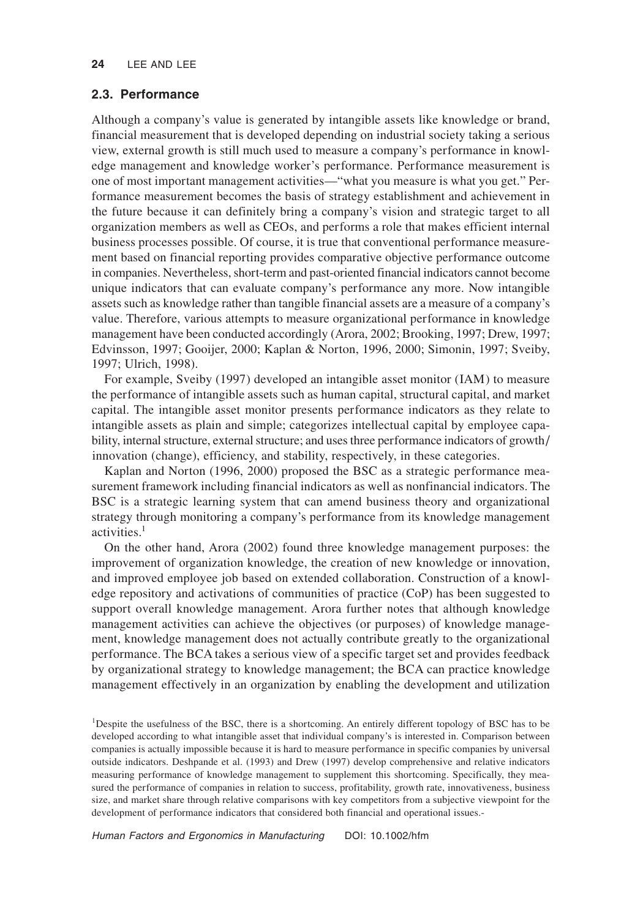#### **2.3. Performance**

Although a company's value is generated by intangible assets like knowledge or brand, financial measurement that is developed depending on industrial society taking a serious view, external growth is still much used to measure a company's performance in knowledge management and knowledge worker's performance. Performance measurement is one of most important management activities—"what you measure is what you get." Performance measurement becomes the basis of strategy establishment and achievement in the future because it can definitely bring a company's vision and strategic target to all organization members as well as CEOs, and performs a role that makes efficient internal business processes possible. Of course, it is true that conventional performance measurement based on financial reporting provides comparative objective performance outcome in companies. Nevertheless, short-term and past-oriented financial indicators cannot become unique indicators that can evaluate company's performance any more. Now intangible assets such as knowledge rather than tangible financial assets are a measure of a company's value. Therefore, various attempts to measure organizational performance in knowledge management have been conducted accordingly (Arora, 2002; Brooking, 1997; Drew, 1997; Edvinsson, 1997; Gooijer, 2000; Kaplan & Norton, 1996, 2000; Simonin, 1997; Sveiby, 1997; Ulrich, 1998).

For example, Sveiby (1997) developed an intangible asset monitor (IAM) to measure the performance of intangible assets such as human capital, structural capital, and market capital. The intangible asset monitor presents performance indicators as they relate to intangible assets as plain and simple; categorizes intellectual capital by employee capability, internal structure, external structure; and uses three performance indicators of growth/ innovation (change), efficiency, and stability, respectively, in these categories.

Kaplan and Norton (1996, 2000) proposed the BSC as a strategic performance measurement framework including financial indicators as well as nonfinancial indicators. The BSC is a strategic learning system that can amend business theory and organizational strategy through monitoring a company's performance from its knowledge management activities.<sup>1</sup>

On the other hand, Arora (2002) found three knowledge management purposes: the improvement of organization knowledge, the creation of new knowledge or innovation, and improved employee job based on extended collaboration. Construction of a knowledge repository and activations of communities of practice (CoP) has been suggested to support overall knowledge management. Arora further notes that although knowledge management activities can achieve the objectives (or purposes) of knowledge management, knowledge management does not actually contribute greatly to the organizational performance. The BCA takes a serious view of a specific target set and provides feedback by organizational strategy to knowledge management; the BCA can practice knowledge management effectively in an organization by enabling the development and utilization

<sup>1</sup>Despite the usefulness of the BSC, there is a shortcoming. An entirely different topology of BSC has to be developed according to what intangible asset that individual company's is interested in. Comparison between companies is actually impossible because it is hard to measure performance in specific companies by universal outside indicators. Deshpande et al. (1993) and Drew (1997) develop comprehensive and relative indicators measuring performance of knowledge management to supplement this shortcoming. Specifically, they measured the performance of companies in relation to success, profitability, growth rate, innovativeness, business size, and market share through relative comparisons with key competitors from a subjective viewpoint for the development of performance indicators that considered both financial and operational issues.-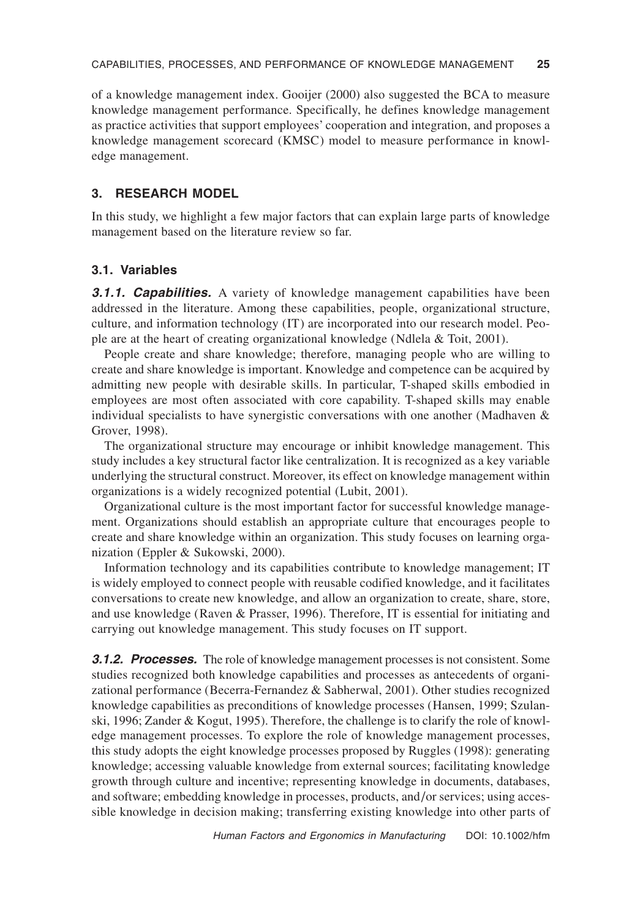of a knowledge management index. Gooijer (2000) also suggested the BCA to measure knowledge management performance. Specifically, he defines knowledge management as practice activities that support employees' cooperation and integration, and proposes a knowledge management scorecard (KMSC) model to measure performance in knowledge management.

# **3. RESEARCH MODEL**

In this study, we highlight a few major factors that can explain large parts of knowledge management based on the literature review so far.

## **3.1. Variables**

**3.1.1. Capabilities.** A variety of knowledge management capabilities have been addressed in the literature. Among these capabilities, people, organizational structure, culture, and information technology (IT) are incorporated into our research model. People are at the heart of creating organizational knowledge (Ndlela & Toit, 2001).

People create and share knowledge; therefore, managing people who are willing to create and share knowledge is important. Knowledge and competence can be acquired by admitting new people with desirable skills. In particular, T-shaped skills embodied in employees are most often associated with core capability. T-shaped skills may enable individual specialists to have synergistic conversations with one another (Madhaven  $\&$ Grover, 1998).

The organizational structure may encourage or inhibit knowledge management. This study includes a key structural factor like centralization. It is recognized as a key variable underlying the structural construct. Moreover, its effect on knowledge management within organizations is a widely recognized potential (Lubit, 2001).

Organizational culture is the most important factor for successful knowledge management. Organizations should establish an appropriate culture that encourages people to create and share knowledge within an organization. This study focuses on learning organization (Eppler & Sukowski, 2000).

Information technology and its capabilities contribute to knowledge management; IT is widely employed to connect people with reusable codified knowledge, and it facilitates conversations to create new knowledge, and allow an organization to create, share, store, and use knowledge (Raven & Prasser, 1996). Therefore, IT is essential for initiating and carrying out knowledge management. This study focuses on IT support.

*3.1.2. Processes.* The role of knowledge management processes is not consistent. Some studies recognized both knowledge capabilities and processes as antecedents of organizational performance (Becerra-Fernandez & Sabherwal, 2001). Other studies recognized knowledge capabilities as preconditions of knowledge processes (Hansen, 1999; Szulanski, 1996; Zander & Kogut, 1995). Therefore, the challenge is to clarify the role of knowledge management processes. To explore the role of knowledge management processes, this study adopts the eight knowledge processes proposed by Ruggles (1998): generating knowledge; accessing valuable knowledge from external sources; facilitating knowledge growth through culture and incentive; representing knowledge in documents, databases, and software; embedding knowledge in processes, products, and/or services; using accessible knowledge in decision making; transferring existing knowledge into other parts of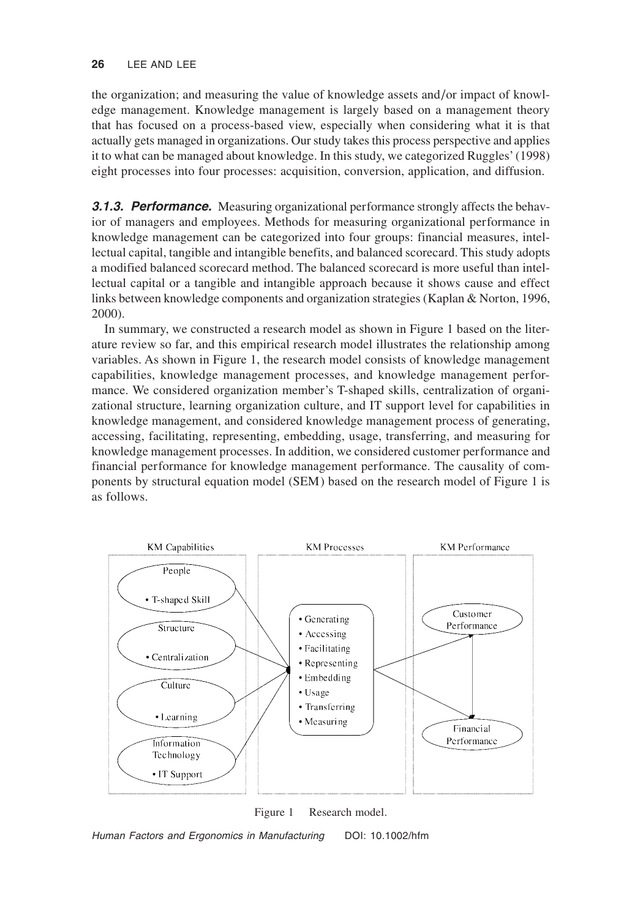the organization; and measuring the value of knowledge assets and/or impact of knowledge management. Knowledge management is largely based on a management theory that has focused on a process-based view, especially when considering what it is that actually gets managed in organizations. Our study takes this process perspective and applies it to what can be managed about knowledge. In this study, we categorized Ruggles' (1998) eight processes into four processes: acquisition, conversion, application, and diffusion.

**3.1.3. Performance.** Measuring organizational performance strongly affects the behavior of managers and employees. Methods for measuring organizational performance in knowledge management can be categorized into four groups: financial measures, intellectual capital, tangible and intangible benefits, and balanced scorecard. This study adopts a modified balanced scorecard method. The balanced scorecard is more useful than intellectual capital or a tangible and intangible approach because it shows cause and effect links between knowledge components and organization strategies (Kaplan & Norton, 1996, 2000).

In summary, we constructed a research model as shown in Figure 1 based on the literature review so far, and this empirical research model illustrates the relationship among variables. As shown in Figure 1, the research model consists of knowledge management capabilities, knowledge management processes, and knowledge management performance. We considered organization member's T-shaped skills, centralization of organizational structure, learning organization culture, and IT support level for capabilities in knowledge management, and considered knowledge management process of generating, accessing, facilitating, representing, embedding, usage, transferring, and measuring for knowledge management processes. In addition, we considered customer performance and financial performance for knowledge management performance. The causality of components by structural equation model (SEM) based on the research model of Figure 1 is as follows.



Figure 1 Research model.

*Human Factors and Ergonomics in Manufacturing* DOI: 10.1002/hfm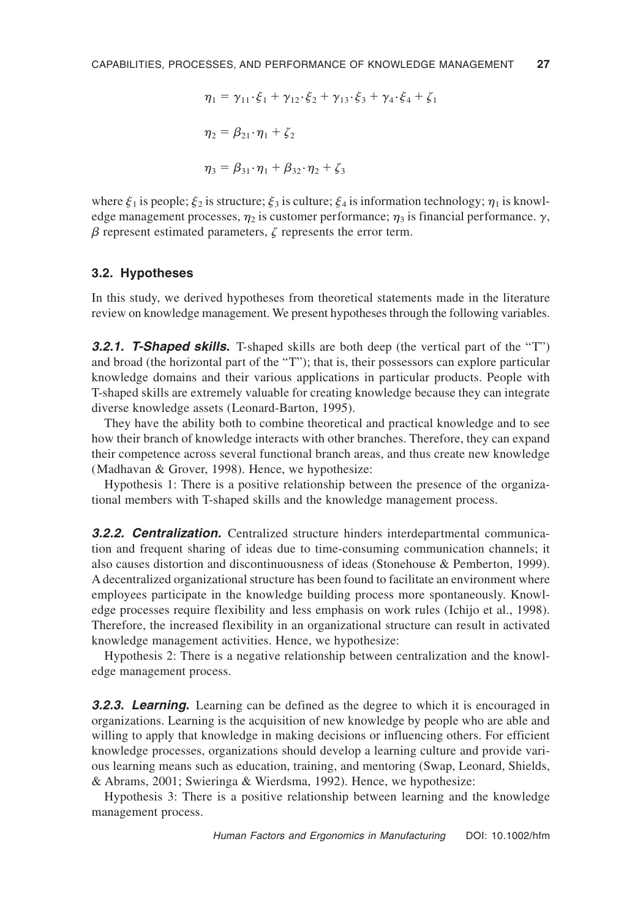$$
\eta_1 = \gamma_{11} \cdot \xi_1 + \gamma_{12} \cdot \xi_2 + \gamma_{13} \cdot \xi_3 + \gamma_4 \cdot \xi_4 + \zeta_1
$$
  

$$
\eta_2 = \beta_{21} \cdot \eta_1 + \zeta_2
$$
  

$$
\eta_3 = \beta_{31} \cdot \eta_1 + \beta_{32} \cdot \eta_2 + \zeta_3
$$

where  $\xi_1$  is people;  $\xi_2$  is structure;  $\xi_3$  is culture;  $\xi_4$  is information technology;  $\eta_1$  is knowledge management processes,  $\eta_2$  is customer performance;  $\eta_3$  is financial performance.  $\gamma$ ,  $\beta$  represent estimated parameters,  $\zeta$  represents the error term.

#### **3.2. Hypotheses**

In this study, we derived hypotheses from theoretical statements made in the literature review on knowledge management. We present hypotheses through the following variables.

**3.2.1. T-Shaped skills.** T-shaped skills are both deep (the vertical part of the "T") and broad (the horizontal part of the "T"); that is, their possessors can explore particular knowledge domains and their various applications in particular products. People with T-shaped skills are extremely valuable for creating knowledge because they can integrate diverse knowledge assets (Leonard-Barton, 1995).

They have the ability both to combine theoretical and practical knowledge and to see how their branch of knowledge interacts with other branches. Therefore, they can expand their competence across several functional branch areas, and thus create new knowledge (Madhavan & Grover, 1998). Hence, we hypothesize:

Hypothesis 1: There is a positive relationship between the presence of the organizational members with T-shaped skills and the knowledge management process.

*3.2.2. Centralization.* Centralized structure hinders interdepartmental communication and frequent sharing of ideas due to time-consuming communication channels; it also causes distortion and discontinuousness of ideas (Stonehouse & Pemberton, 1999). A decentralized organizational structure has been found to facilitate an environment where employees participate in the knowledge building process more spontaneously. Knowledge processes require flexibility and less emphasis on work rules (Ichijo et al., 1998). Therefore, the increased flexibility in an organizational structure can result in activated knowledge management activities. Hence, we hypothesize:

Hypothesis 2: There is a negative relationship between centralization and the knowledge management process.

**3.2.3. Learning.** Learning can be defined as the degree to which it is encouraged in organizations. Learning is the acquisition of new knowledge by people who are able and willing to apply that knowledge in making decisions or influencing others. For efficient knowledge processes, organizations should develop a learning culture and provide various learning means such as education, training, and mentoring (Swap, Leonard, Shields, & Abrams, 2001; Swieringa & Wierdsma, 1992). Hence, we hypothesize:

Hypothesis 3: There is a positive relationship between learning and the knowledge management process.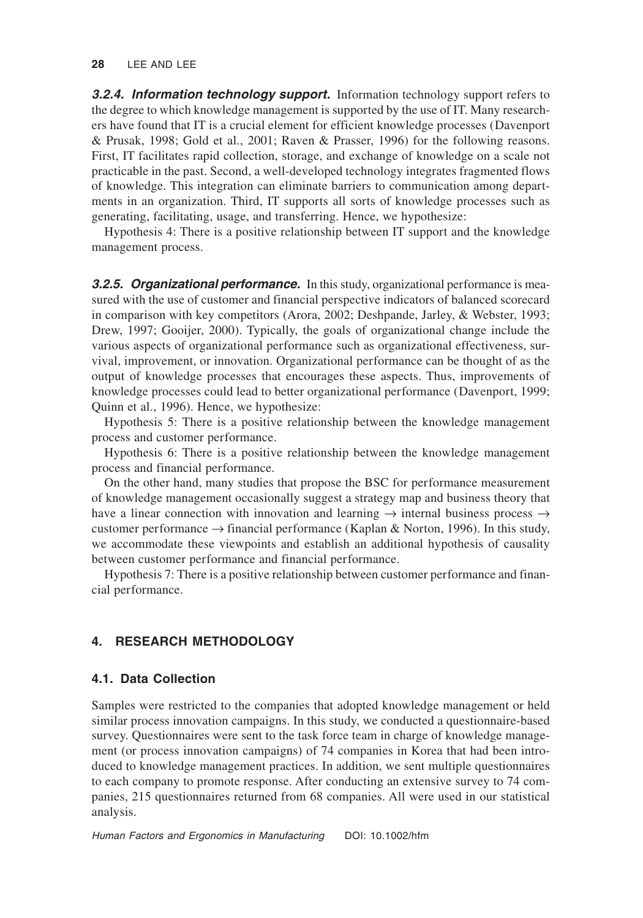*3.2.4. Information technology support.* Information technology support refers to the degree to which knowledge management is supported by the use of IT. Many researchers have found that IT is a crucial element for efficient knowledge processes (Davenport & Prusak, 1998; Gold et al., 2001; Raven & Prasser, 1996) for the following reasons. First, IT facilitates rapid collection, storage, and exchange of knowledge on a scale not practicable in the past. Second, a well-developed technology integrates fragmented flows of knowledge. This integration can eliminate barriers to communication among departments in an organization. Third, IT supports all sorts of knowledge processes such as generating, facilitating, usage, and transferring. Hence, we hypothesize:

Hypothesis 4: There is a positive relationship between IT support and the knowledge management process.

**3.2.5. Organizational performance.** In this study, organizational performance is measured with the use of customer and financial perspective indicators of balanced scorecard in comparison with key competitors (Arora, 2002; Deshpande, Jarley, & Webster, 1993; Drew, 1997; Gooijer, 2000). Typically, the goals of organizational change include the various aspects of organizational performance such as organizational effectiveness, survival, improvement, or innovation. Organizational performance can be thought of as the output of knowledge processes that encourages these aspects. Thus, improvements of knowledge processes could lead to better organizational performance (Davenport, 1999; Quinn et al., 1996). Hence, we hypothesize:

Hypothesis 5: There is a positive relationship between the knowledge management process and customer performance.

Hypothesis 6: There is a positive relationship between the knowledge management process and financial performance.

On the other hand, many studies that propose the BSC for performance measurement of knowledge management occasionally suggest a strategy map and business theory that have a linear connection with innovation and learning  $\rightarrow$  internal business process  $\rightarrow$ customer performance  $\rightarrow$  financial performance (Kaplan & Norton, 1996). In this study, we accommodate these viewpoints and establish an additional hypothesis of causality between customer performance and financial performance.

Hypothesis 7: There is a positive relationship between customer performance and financial performance.

#### **4. RESEARCH METHODOLOGY**

#### **4.1. Data Collection**

Samples were restricted to the companies that adopted knowledge management or held similar process innovation campaigns. In this study, we conducted a questionnaire-based survey. Questionnaires were sent to the task force team in charge of knowledge management (or process innovation campaigns) of 74 companies in Korea that had been introduced to knowledge management practices. In addition, we sent multiple questionnaires to each company to promote response. After conducting an extensive survey to 74 companies, 215 questionnaires returned from 68 companies. All were used in our statistical analysis.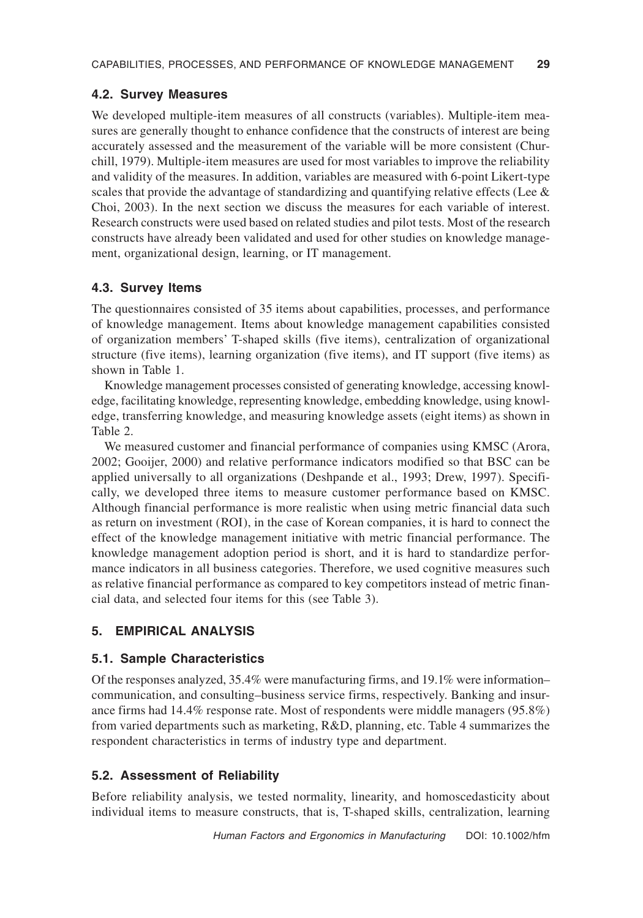# **4.2. Survey Measures**

We developed multiple-item measures of all constructs (variables). Multiple-item measures are generally thought to enhance confidence that the constructs of interest are being accurately assessed and the measurement of the variable will be more consistent (Churchill, 1979). Multiple-item measures are used for most variables to improve the reliability and validity of the measures. In addition, variables are measured with 6-point Likert-type scales that provide the advantage of standardizing and quantifying relative effects (Lee  $\&$ Choi, 2003). In the next section we discuss the measures for each variable of interest. Research constructs were used based on related studies and pilot tests. Most of the research constructs have already been validated and used for other studies on knowledge management, organizational design, learning, or IT management.

# **4.3. Survey Items**

The questionnaires consisted of 35 items about capabilities, processes, and performance of knowledge management. Items about knowledge management capabilities consisted of organization members' T-shaped skills (five items), centralization of organizational structure (five items), learning organization (five items), and IT support (five items) as shown in Table 1.

Knowledge management processes consisted of generating knowledge, accessing knowledge, facilitating knowledge, representing knowledge, embedding knowledge, using knowledge, transferring knowledge, and measuring knowledge assets (eight items) as shown in Table 2.

We measured customer and financial performance of companies using KMSC (Arora, 2002; Gooijer, 2000) and relative performance indicators modified so that BSC can be applied universally to all organizations (Deshpande et al., 1993; Drew, 1997). Specifically, we developed three items to measure customer performance based on KMSC. Although financial performance is more realistic when using metric financial data such as return on investment (ROI), in the case of Korean companies, it is hard to connect the effect of the knowledge management initiative with metric financial performance. The knowledge management adoption period is short, and it is hard to standardize performance indicators in all business categories. Therefore, we used cognitive measures such as relative financial performance as compared to key competitors instead of metric financial data, and selected four items for this (see Table 3).

# **5. EMPIRICAL ANALYSIS**

## **5.1. Sample Characteristics**

Of the responses analyzed, 35.4% were manufacturing firms, and 19.1% were information– communication, and consulting–business service firms, respectively. Banking and insurance firms had 14.4% response rate. Most of respondents were middle managers (95.8%) from varied departments such as marketing, R&D, planning, etc. Table 4 summarizes the respondent characteristics in terms of industry type and department.

# **5.2. Assessment of Reliability**

Before reliability analysis, we tested normality, linearity, and homoscedasticity about individual items to measure constructs, that is, T-shaped skills, centralization, learning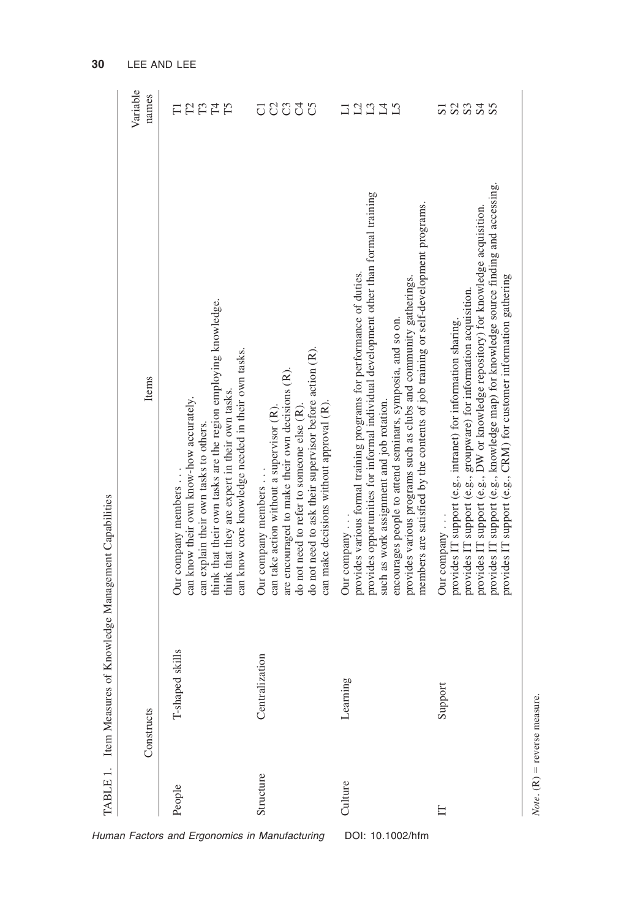|           | TABLE 1. Item Measures of Knowledge Management Capabilities |                                                                                                                                                                                                                                                                                                                                                                                                                                                             |                      |
|-----------|-------------------------------------------------------------|-------------------------------------------------------------------------------------------------------------------------------------------------------------------------------------------------------------------------------------------------------------------------------------------------------------------------------------------------------------------------------------------------------------------------------------------------------------|----------------------|
|           | Constructs                                                  | Items                                                                                                                                                                                                                                                                                                                                                                                                                                                       | Variable<br>names    |
| People    | $\mathbb{I}$ s<br>T-shaped ski                              | think that their own tasks are the region employing knowledge.<br>can know core knowledge needed in their own tasks.<br>think that they are expert in their own tasks.<br>can know their own know-how accurately.<br>can explain their own tasks to others.<br>Our company members $\dots$                                                                                                                                                                  | PPH<br>T5<br>$\Box$  |
| Structure | Centralization                                              | do not need to ask their supervisor before action (R).<br>are encouraged to make their own decisions (R).<br>can make decisions without approval (R).<br>do not need to refer to someone else (R).<br>can take action without a supervisor (R)<br>Our company members                                                                                                                                                                                       | 23<br><b>JS</b><br>ರ |
| Culture   | Learning                                                    | provides opportunities for informal individual development other than formal training<br>members are satisfied by the contents of job training or self-development programs.<br>provides various formal training programs for performance of duties.<br>provides various programs such as clubs and community gatherings.<br>encourages people to attend seminars, symposia, and so on.<br>such as work assignment and job rotation.<br>Our company $\dots$ | 2312<br>5            |
| E         | Support                                                     | provides IT support (e.g., knowledge map) for knowledge source finding and accessing.<br>provides IT support (e.g., DW or knowledge repository) for knowledge acquisition.<br>provides IT support (e.g., CRM) for customer information gathering<br>provides IT support (e.g., groupware) for information acquisition.<br>provides IT support (e.g., intranet) for information sharing.<br>Our company                                                      | 8835<br>51           |

 $Note. (R) = reverse measure.$  $Note. (R) = reverse measure.$ 

**30** LEE AND LEE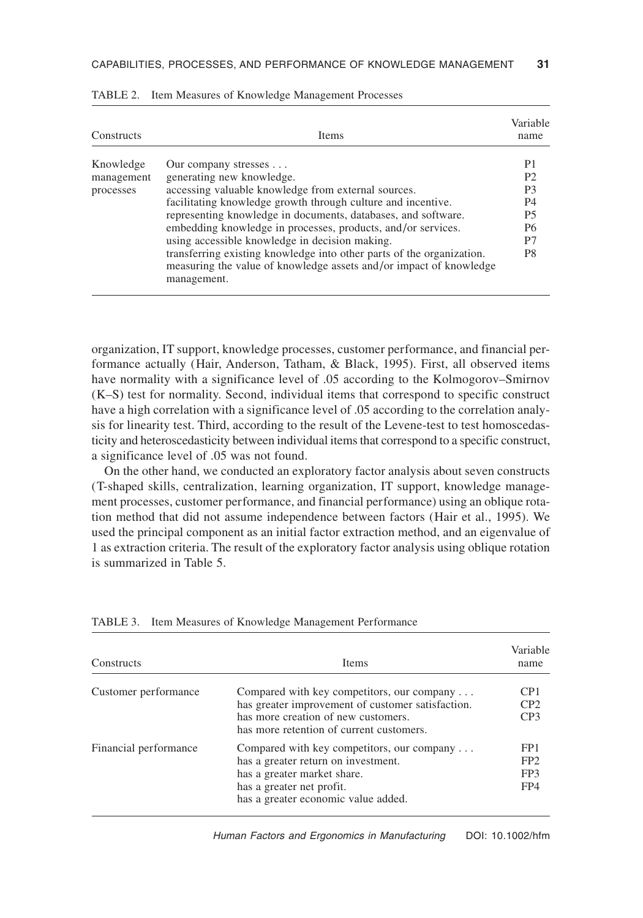| Constructs                           | <b>Items</b>                                                                                                                                                                                                                                                                                                                                                                                                                                                                                                              | Variable<br>name                                                                 |
|--------------------------------------|---------------------------------------------------------------------------------------------------------------------------------------------------------------------------------------------------------------------------------------------------------------------------------------------------------------------------------------------------------------------------------------------------------------------------------------------------------------------------------------------------------------------------|----------------------------------------------------------------------------------|
| Knowledge<br>management<br>processes | Our company stresses<br>generating new knowledge.<br>accessing valuable knowledge from external sources.<br>facilitating knowledge growth through culture and incentive.<br>representing knowledge in documents, databases, and software.<br>embedding knowledge in processes, products, and/or services.<br>using accessible knowledge in decision making.<br>transferring existing knowledge into other parts of the organization.<br>measuring the value of knowledge assets and/or impact of knowledge<br>management. | P1<br>P <sub>2</sub><br>P <sub>3</sub><br>P4<br>P <sub>5</sub><br>P6<br>P7<br>P8 |

| TABLE 2. Item Measures of Knowledge Management Processes |  |  |  |  |
|----------------------------------------------------------|--|--|--|--|
|----------------------------------------------------------|--|--|--|--|

organization, IT support, knowledge processes, customer performance, and financial performance actually (Hair, Anderson, Tatham, & Black, 1995). First, all observed items have normality with a significance level of .05 according to the Kolmogorov–Smirnov (K–S) test for normality. Second, individual items that correspond to specific construct have a high correlation with a significance level of .05 according to the correlation analysis for linearity test. Third, according to the result of the Levene-test to test homoscedasticity and heteroscedasticity between individual items that correspond to a specific construct, a significance level of .05 was not found.

On the other hand, we conducted an exploratory factor analysis about seven constructs (T-shaped skills, centralization, learning organization, IT support, knowledge management processes, customer performance, and financial performance) using an oblique rotation method that did not assume independence between factors (Hair et al., 1995). We used the principal component as an initial factor extraction method, and an eigenvalue of 1 as extraction criteria. The result of the exploratory factor analysis using oblique rotation is summarized in Table 5.

| Constructs            | <b>Items</b>                                                                                                                                                                         | Variable<br>name                                             |
|-----------------------|--------------------------------------------------------------------------------------------------------------------------------------------------------------------------------------|--------------------------------------------------------------|
| Customer performance  | Compared with key competitors, our company<br>has greater improvement of customer satisfaction.<br>has more creation of new customers.<br>has more retention of current customers.   | CP <sub>1</sub><br>CP <sub>2</sub><br>CP3                    |
| Financial performance | Compared with key competitors, our company<br>has a greater return on investment.<br>has a greater market share.<br>has a greater net profit.<br>has a greater economic value added. | FP <sub>1</sub><br>FP <sub>2</sub><br>FP <sub>3</sub><br>FP4 |

TABLE 3. Item Measures of Knowledge Management Performance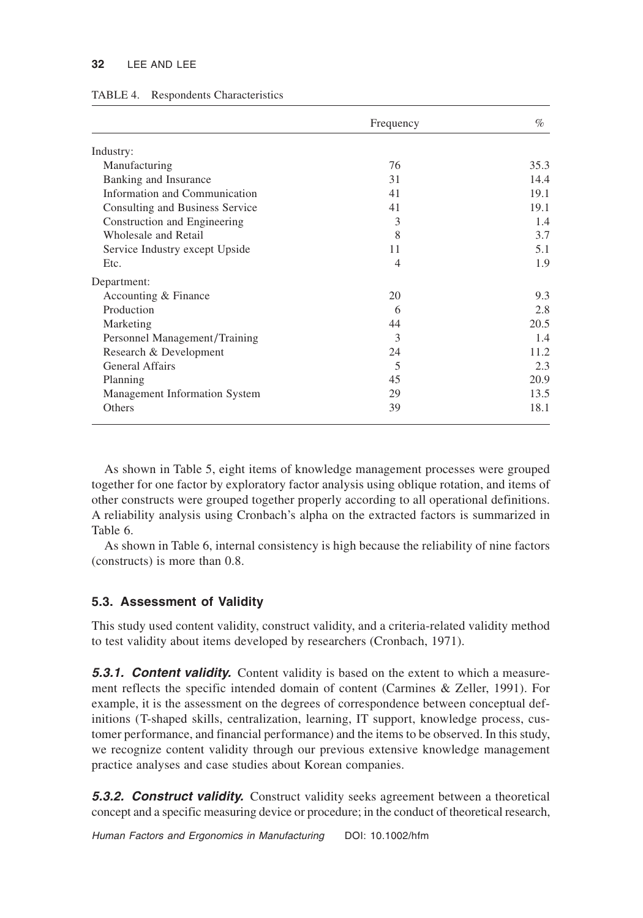|                                 | Frequency | $\%$ |
|---------------------------------|-----------|------|
| Industry:                       |           |      |
| Manufacturing                   | 76        | 35.3 |
| Banking and Insurance           | 31        | 14.4 |
| Information and Communication   | 41        | 19.1 |
| Consulting and Business Service | 41        | 19.1 |
| Construction and Engineering    | 3         | 1.4  |
| Wholesale and Retail            | 8         | 3.7  |
| Service Industry except Upside  | 11        | 5.1  |
| Etc.                            | 4         | 1.9  |
| Department:                     |           |      |
| Accounting & Finance            | 20        | 9.3  |
| Production                      | 6         | 2.8  |
| Marketing                       | 44        | 20.5 |
| Personnel Management/Training   | 3         | 1.4  |
| Research & Development          | 24        | 11.2 |
| General Affairs                 | 5         | 2.3  |
| Planning                        | 45        | 20.9 |
| Management Information System   | 29        | 13.5 |
| Others                          | 39        | 18.1 |

TABLE 4. Respondents Characteristics

As shown in Table 5, eight items of knowledge management processes were grouped together for one factor by exploratory factor analysis using oblique rotation, and items of other constructs were grouped together properly according to all operational definitions. A reliability analysis using Cronbach's alpha on the extracted factors is summarized in Table 6.

As shown in Table 6, internal consistency is high because the reliability of nine factors (constructs) is more than 0.8.

## **5.3. Assessment of Validity**

This study used content validity, construct validity, and a criteria-related validity method to test validity about items developed by researchers (Cronbach, 1971).

*5.3.1. Content validity.* Content validity is based on the extent to which a measurement reflects the specific intended domain of content (Carmines & Zeller, 1991). For example, it is the assessment on the degrees of correspondence between conceptual definitions (T-shaped skills, centralization, learning, IT support, knowledge process, customer performance, and financial performance) and the items to be observed. In this study, we recognize content validity through our previous extensive knowledge management practice analyses and case studies about Korean companies.

*5.3.2. Construct validity.* Construct validity seeks agreement between a theoretical concept and a specific measuring device or procedure; in the conduct of theoretical research,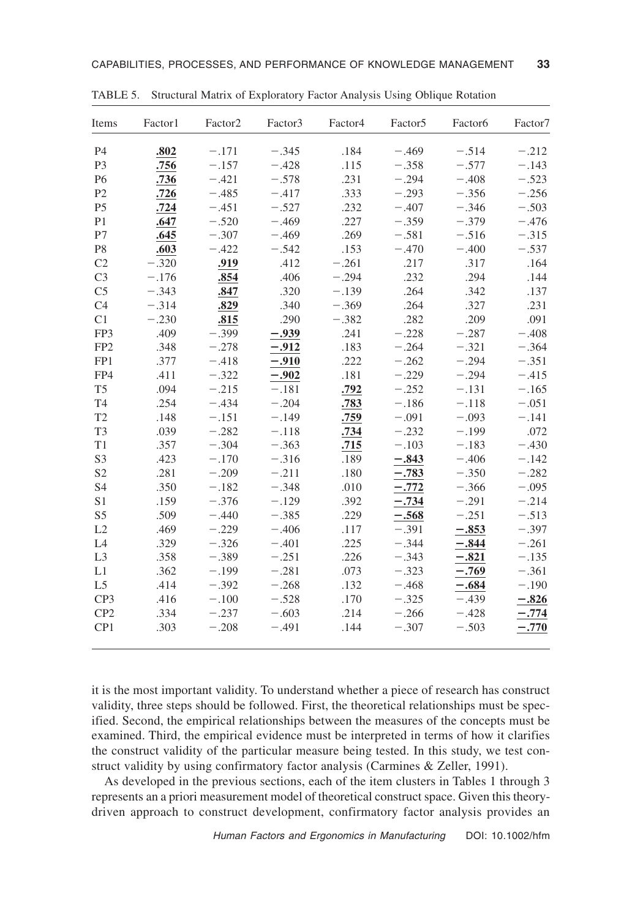| Items           | Factor1 | Factor <sub>2</sub> | Factor3 | Factor4 | Factor <sub>5</sub> | Factor <sub>6</sub> | Factor7 |
|-----------------|---------|---------------------|---------|---------|---------------------|---------------------|---------|
| P <sub>4</sub>  | .802    | $-.171$             | $-.345$ | .184    | $-.469$             | $-.514$             | $-.212$ |
| P <sub>3</sub>  | .756    | $-.157$             | $-.428$ | .115    | $-.358$             | $-.577$             | $-.143$ |
| <b>P6</b>       | .736    | $-.421$             | $-.578$ | .231    | $-.294$             | $-.408$             | $-.523$ |
| P <sub>2</sub>  | .726    | $-.485$             | $-.417$ | .333    | $-.293$             | $-.356$             | $-.256$ |
| P <sub>5</sub>  | .724    | $-.451$             | $-.527$ | .232    | $-.407$             | $-.346$             | $-.503$ |
| P <sub>1</sub>  | .647    | $-.520$             | $-.469$ | .227    | $-.359$             | $-.379$             | $-.476$ |
| P7              | .645    | $-.307$             | $-.469$ | .269    | $-.581$             | $-.516$             | $-.315$ |
| P8              | .603    | $-.422$             | $-.542$ | .153    | $-.470$             | $-.400$             | $-.537$ |
| C <sub>2</sub>  | $-.320$ | .919                | .412    | $-.261$ | .217                | .317                | .164    |
| C <sub>3</sub>  | $-.176$ | .854                | .406    | $-.294$ | .232                | .294                | .144    |
| C <sub>5</sub>  | $-.343$ | .847                | .320    | $-.139$ | .264                | .342                | .137    |
| C <sub>4</sub>  | $-.314$ | .829                | .340    | $-.369$ | .264                | .327                | .231    |
| C1              | $-.230$ | .815                | .290    | $-.382$ | .282                | .209                | .091    |
| FP3             | .409    | $-.399$             | $-.939$ | .241    | $-.228$             | $-.287$             | $-.408$ |
| FP <sub>2</sub> | .348    | $-.278$             | $-.912$ | .183    | $-.264$             | $-.321$             | $-.364$ |
| FP <sub>1</sub> | .377    | $-.418$             | $-.910$ | .222    | $-.262$             | $-.294$             | $-.351$ |
| FP4             | .411    | $-.322$             | $-.902$ | .181    | $-.229$             | $-.294$             | $-.415$ |
| T <sub>5</sub>  | .094    | $-.215$             | $-.181$ | .792    | $-.252$             | $-.131$             | $-.165$ |
| T <sub>4</sub>  | .254    | $-.434$             | $-.204$ | .783    | $-.186$             | $-.118$             | $-.051$ |
| T <sub>2</sub>  | .148    | $-.151$             | $-.149$ | .759    | $-.091$             | $-.093$             | $-.141$ |
| T <sub>3</sub>  | .039    | $-.282$             | $-.118$ | .734    | $-.232$             | $-.199$             | .072    |
| T1              | .357    | $-.304$             | $-.363$ | .715    | $-.103$             | $-.183$             | $-.430$ |
| S <sub>3</sub>  | .423    | $-.170$             | $-.316$ | .189    | $-.843$             | $-.406$             | $-.142$ |
| S <sub>2</sub>  | .281    | $-.209$             | $-.211$ | .180    | $-.783$             | $-.350$             | $-.282$ |
| <b>S4</b>       | .350    | $-.182$             | $-.348$ | .010    | $-.772$             | $-.366$             | $-.095$ |
| S <sub>1</sub>  | .159    | $-.376$             | $-.129$ | .392    | $-.734$             | $-.291$             | $-.214$ |
| S <sub>5</sub>  | .509    | $-.440$             | $-.385$ | .229    | $-.568$             | $-.251$             | $-.513$ |
| L2              | .469    | $-.229$             | $-.406$ | .117    | $-.391$             | $-.853$             | $-.397$ |
| L4              | .329    | $-.326$             | $-.401$ | .225    | $-.344$             | $-.844$             | $-.261$ |
| L <sub>3</sub>  | .358    | $-.389$             | $-.251$ | .226    | $-.343$             | $-.821$             | $-.135$ |
| L1              | .362    | $-.199$             | $-.281$ | .073    | $-.323$             | $-.769$             | $-.361$ |
| L <sub>5</sub>  | .414    | $-.392$             | $-.268$ | .132    | $-.468$             | $-.684$             | $-.190$ |
| CP3             | .416    | $-.100$             | $-.528$ | .170    | $-.325$             | $-.439$             | $-.826$ |
| CP <sub>2</sub> | .334    | $-.237$             | $-.603$ | .214    | $-.266$             | $-.428$             | $-.774$ |
| CP1             | .303    | $-.208$             | $-.491$ | .144    | $-.307$             | $-.503$             | $-.770$ |

TABLE 5. Structural Matrix of Exploratory Factor Analysis Using Oblique Rotation

it is the most important validity. To understand whether a piece of research has construct validity, three steps should be followed. First, the theoretical relationships must be specified. Second, the empirical relationships between the measures of the concepts must be examined. Third, the empirical evidence must be interpreted in terms of how it clarifies the construct validity of the particular measure being tested. In this study, we test construct validity by using confirmatory factor analysis (Carmines & Zeller, 1991).

As developed in the previous sections, each of the item clusters in Tables 1 through 3 represents an a priori measurement model of theoretical construct space. Given this theorydriven approach to construct development, confirmatory factor analysis provides an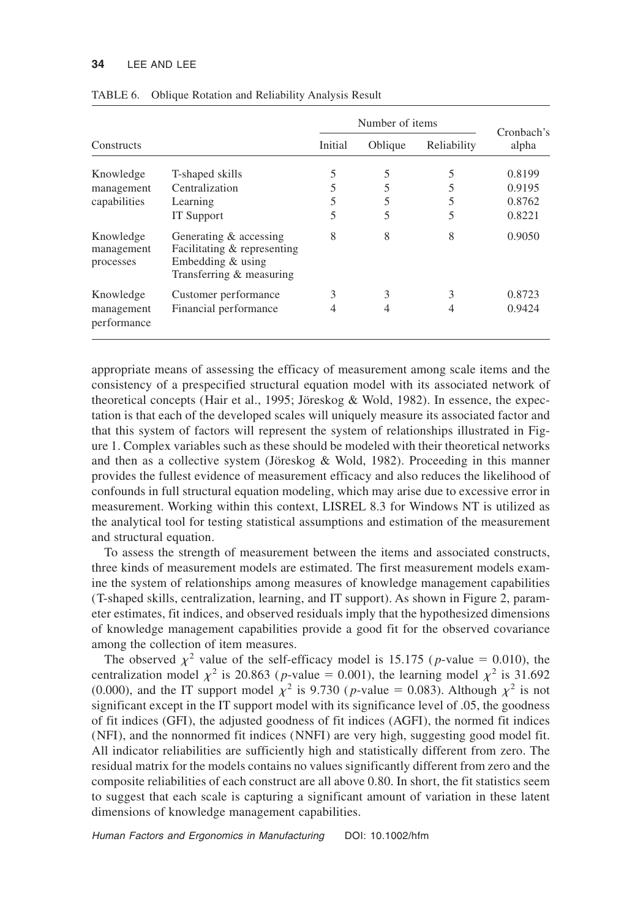|                                      |                                                                                                          |         | Number of items |             |                     |  |  |
|--------------------------------------|----------------------------------------------------------------------------------------------------------|---------|-----------------|-------------|---------------------|--|--|
| Constructs                           |                                                                                                          | Initial | Oblique         | Reliability | Cronbach's<br>alpha |  |  |
| Knowledge                            | T-shaped skills                                                                                          | 5       | 5               | 5           | 0.8199              |  |  |
| management<br>capabilities           | Centralization                                                                                           | 5       | 5               | 5           | 0.9195              |  |  |
|                                      | Learning                                                                                                 | 5       | 5               | 5           | 0.8762              |  |  |
|                                      | <b>IT Support</b>                                                                                        | 5       | 5               | 5           | 0.8221              |  |  |
| Knowledge<br>management<br>processes | Generating & accessing<br>Facilitating & representing<br>Embedding $&$ using<br>Transferring & measuring | 8       | 8               | 8           | 0.9050              |  |  |
| Knowledge                            | Customer performance                                                                                     | 3       | 3               | 3           | 0.8723              |  |  |
| management<br>performance            | Financial performance                                                                                    | 4       | 4               | 4           | 0.9424              |  |  |

TABLE 6. Oblique Rotation and Reliability Analysis Result

appropriate means of assessing the efficacy of measurement among scale items and the consistency of a prespecified structural equation model with its associated network of theoretical concepts (Hair et al., 1995; Jöreskog & Wold, 1982). In essence, the expectation is that each of the developed scales will uniquely measure its associated factor and that this system of factors will represent the system of relationships illustrated in Figure 1. Complex variables such as these should be modeled with their theoretical networks and then as a collective system (Jöreskog  $&$  Wold, 1982). Proceeding in this manner provides the fullest evidence of measurement efficacy and also reduces the likelihood of confounds in full structural equation modeling, which may arise due to excessive error in measurement. Working within this context, LISREL 8.3 for Windows NT is utilized as the analytical tool for testing statistical assumptions and estimation of the measurement and structural equation.

To assess the strength of measurement between the items and associated constructs, three kinds of measurement models are estimated. The first measurement models examine the system of relationships among measures of knowledge management capabilities (T-shaped skills, centralization, learning, and IT support). As shown in Figure 2, parameter estimates, fit indices, and observed residuals imply that the hypothesized dimensions of knowledge management capabilities provide a good fit for the observed covariance among the collection of item measures.

The observed  $\chi^2$  value of the self-efficacy model is 15.175 (*p*-value = 0.010), the centralization model  $\chi^2$  is 20.863 (*p*-value = 0.001), the learning model  $\chi^2$  is 31.692 (0.000), and the IT support model  $\chi^2$  is 9.730 (*p*-value = 0.083). Although  $\chi^2$  is not significant except in the IT support model with its significance level of .05, the goodness of fit indices (GFI), the adjusted goodness of fit indices (AGFI), the normed fit indices (NFI), and the nonnormed fit indices (NNFI) are very high, suggesting good model fit. All indicator reliabilities are sufficiently high and statistically different from zero. The residual matrix for the models contains no values significantly different from zero and the composite reliabilities of each construct are all above 0.80. In short, the fit statistics seem to suggest that each scale is capturing a significant amount of variation in these latent dimensions of knowledge management capabilities.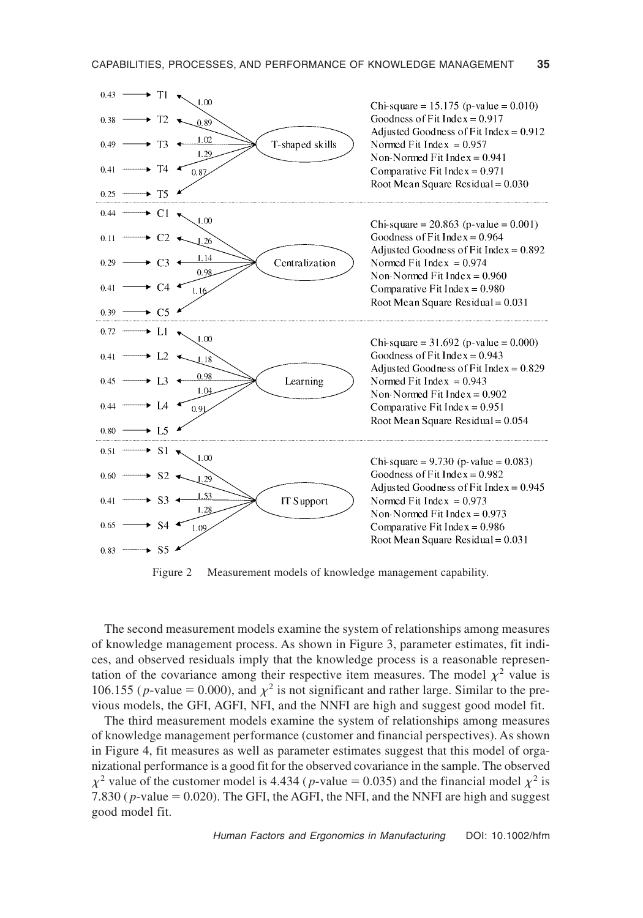

Figure 2 Measurement models of knowledge management capability.

The second measurement models examine the system of relationships among measures of knowledge management process. As shown in Figure 3, parameter estimates, fit indices, and observed residuals imply that the knowledge process is a reasonable representation of the covariance among their respective item measures. The model  $\chi^2$  value is 106.155 (*p*-value = 0.000), and  $\chi^2$  is not significant and rather large. Similar to the previous models, the GFI, AGFI, NFI, and the NNFI are high and suggest good model fit.

The third measurement models examine the system of relationships among measures of knowledge management performance (customer and financial perspectives). As shown in Figure 4, fit measures as well as parameter estimates suggest that this model of organizational performance is a good fit for the observed covariance in the sample. The observed  $\chi^2$  value of the customer model is 4.434 (*p*-value = 0.035) and the financial model  $\chi^2$  is 7.830 ( $p$ -value  $= 0.020$ ). The GFI, the AGFI, the NFI, and the NNFI are high and suggest good model fit.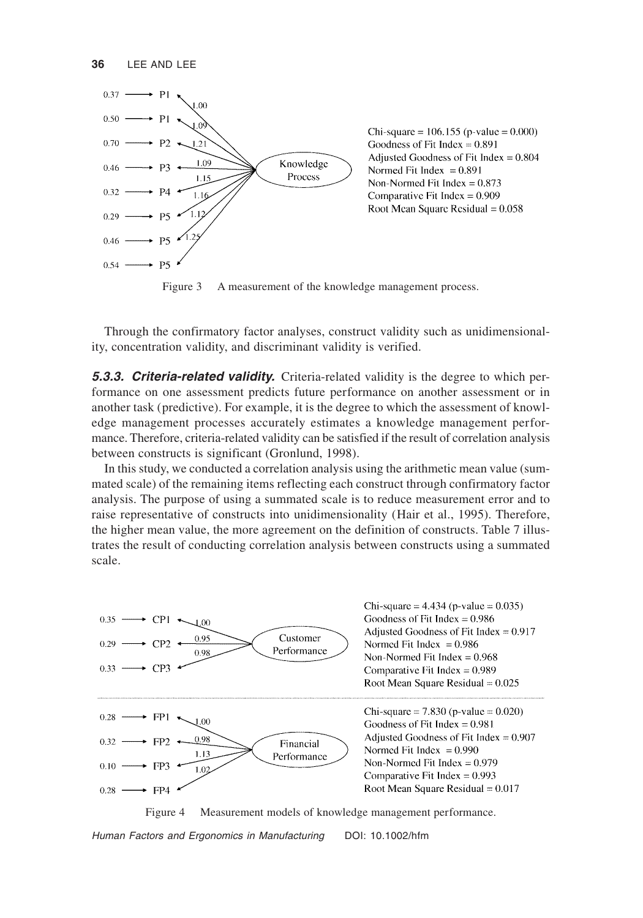

Chi-square =  $106.155$  (p-value = 0.000) Goodness of Fit Index =  $0.891$ Adjusted Goodness of Fit Index =  $0.804$ Normed Fit Index =  $0.891$ Non-Normed Fit Index =  $0.873$ Comparative Fit Index =  $0.909$ Root Mean Square Residual =  $0.058$ 

Figure 3 A measurement of the knowledge management process.

Through the confirmatory factor analyses, construct validity such as unidimensionality, concentration validity, and discriminant validity is verified.

*5.3.3. Criteria-related validity.* Criteria-related validity is the degree to which performance on one assessment predicts future performance on another assessment or in another task (predictive). For example, it is the degree to which the assessment of knowledge management processes accurately estimates a knowledge management performance. Therefore, criteria-related validity can be satisfied if the result of correlation analysis between constructs is significant (Gronlund, 1998).

In this study, we conducted a correlation analysis using the arithmetic mean value (summated scale) of the remaining items reflecting each construct through confirmatory factor analysis. The purpose of using a summated scale is to reduce measurement error and to raise representative of constructs into unidimensionality (Hair et al., 1995). Therefore, the higher mean value, the more agreement on the definition of constructs. Table 7 illustrates the result of conducting correlation analysis between constructs using a summated scale.



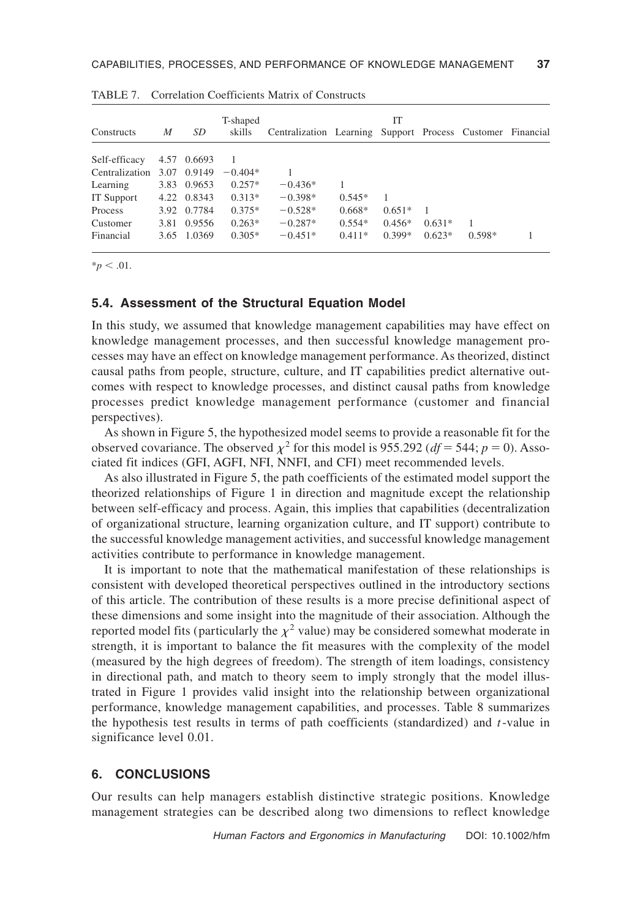| Constructs                 | M    | SD          | T-shaped<br>skills | Centralization Learning Support Process Customer Financial |          | IT       |          |          |  |
|----------------------------|------|-------------|--------------------|------------------------------------------------------------|----------|----------|----------|----------|--|
|                            |      |             |                    |                                                            |          |          |          |          |  |
| Self-efficacy              |      | 4.57 0.6693 |                    |                                                            |          |          |          |          |  |
| Centralization 3.07 0.9149 |      |             | $-0.404*$          |                                                            |          |          |          |          |  |
| Learning                   |      | 3.83 0.9653 | $0.257*$           | $-0.436*$                                                  |          |          |          |          |  |
| IT Support                 |      | 4.22 0.8343 | $0.313*$           | $-0.398*$                                                  | $0.545*$ |          |          |          |  |
| Process                    |      | 3.92 0.7784 | $0.375*$           | $-0.528*$                                                  | $0.668*$ | $0.651*$ | - 1      |          |  |
| Customer                   | 3.81 | 0.9556      | $0.263*$           | $-0.287*$                                                  | $0.554*$ | $0.456*$ | $0.631*$ |          |  |
| Financial                  |      | 3.65 1.0369 | $0.305*$           | $-0.451*$                                                  | $0.411*$ | $0.399*$ | $0.623*$ | $0.598*$ |  |

TABLE 7. Correlation Coefficients Matrix of Constructs

 $*_{p}$  < .01.

#### **5.4. Assessment of the Structural Equation Model**

In this study, we assumed that knowledge management capabilities may have effect on knowledge management processes, and then successful knowledge management processes may have an effect on knowledge management performance. As theorized, distinct causal paths from people, structure, culture, and IT capabilities predict alternative outcomes with respect to knowledge processes, and distinct causal paths from knowledge processes predict knowledge management performance (customer and financial perspectives).

As shown in Figure 5, the hypothesized model seems to provide a reasonable fit for the observed covariance. The observed  $\chi^2$  for this model is 955.292 ( $df = 544$ ;  $p = 0$ ). Associated fit indices (GFI, AGFI, NFI, NNFI, and CFI) meet recommended levels.

As also illustrated in Figure 5, the path coefficients of the estimated model support the theorized relationships of Figure 1 in direction and magnitude except the relationship between self-efficacy and process. Again, this implies that capabilities (decentralization of organizational structure, learning organization culture, and IT support) contribute to the successful knowledge management activities, and successful knowledge management activities contribute to performance in knowledge management.

It is important to note that the mathematical manifestation of these relationships is consistent with developed theoretical perspectives outlined in the introductory sections of this article. The contribution of these results is a more precise definitional aspect of these dimensions and some insight into the magnitude of their association. Although the reported model fits (particularly the  $\chi^2$  value) may be considered somewhat moderate in strength, it is important to balance the fit measures with the complexity of the model (measured by the high degrees of freedom). The strength of item loadings, consistency in directional path, and match to theory seem to imply strongly that the model illustrated in Figure 1 provides valid insight into the relationship between organizational performance, knowledge management capabilities, and processes. Table 8 summarizes the hypothesis test results in terms of path coefficients (standardized) and *t*-value in significance level 0.01.

#### **6. CONCLUSIONS**

Our results can help managers establish distinctive strategic positions. Knowledge management strategies can be described along two dimensions to reflect knowledge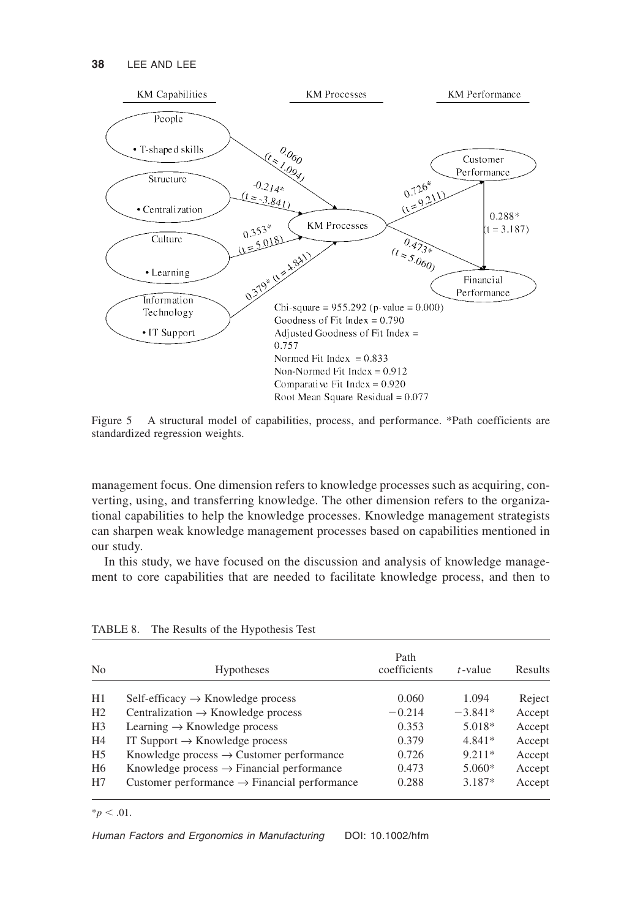

Figure 5 A structural model of capabilities, process, and performance. \*Path coefficients are standardized regression weights.

management focus. One dimension refers to knowledge processes such as acquiring, converting, using, and transferring knowledge. The other dimension refers to the organizational capabilities to help the knowledge processes. Knowledge management strategists can sharpen weak knowledge management processes based on capabilities mentioned in our study.

In this study, we have focused on the discussion and analysis of knowledge management to core capabilities that are needed to facilitate knowledge process, and then to

| N <sub>0</sub> | <b>Hypotheses</b>                                        | Path<br>coefficients | $t$ -value | Results |
|----------------|----------------------------------------------------------|----------------------|------------|---------|
| H1             | $Self\text{-efficacy} \rightarrow$ Knowledge process     | 0.060                | 1.094      | Reject  |
| H <sub>2</sub> | Centralization $\rightarrow$ Knowledge process           | $-0.214$             | $-3.841*$  | Accept  |
| H <sub>3</sub> | Learning $\rightarrow$ Knowledge process                 | 0.353                | 5.018*     | Accept  |
| H <sub>4</sub> | IT Support $\rightarrow$ Knowledge process               | 0.379                | $4.841*$   | Accept  |
| H <sub>5</sub> | Knowledge process $\rightarrow$ Customer performance     | 0.726                | $9.211*$   | Accept  |
| H <sub>6</sub> | Knowledge process $\rightarrow$ Financial performance    | 0.473                | $5.060*$   | Accept  |
| H7             | Customer performance $\rightarrow$ Financial performance | 0.288                | $3.187*$   | Accept  |

TABLE 8. The Results of the Hypothesis Test

 $*_{p}$  < .01.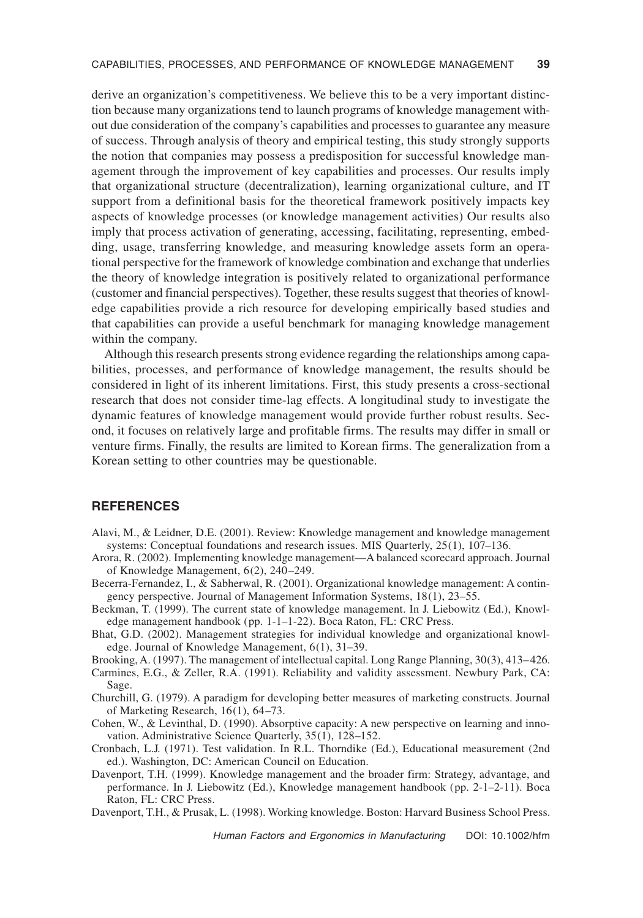derive an organization's competitiveness. We believe this to be a very important distinction because many organizations tend to launch programs of knowledge management without due consideration of the company's capabilities and processes to guarantee any measure of success. Through analysis of theory and empirical testing, this study strongly supports the notion that companies may possess a predisposition for successful knowledge management through the improvement of key capabilities and processes. Our results imply that organizational structure (decentralization), learning organizational culture, and IT support from a definitional basis for the theoretical framework positively impacts key aspects of knowledge processes (or knowledge management activities) Our results also imply that process activation of generating, accessing, facilitating, representing, embedding, usage, transferring knowledge, and measuring knowledge assets form an operational perspective for the framework of knowledge combination and exchange that underlies the theory of knowledge integration is positively related to organizational performance (customer and financial perspectives). Together, these results suggest that theories of knowledge capabilities provide a rich resource for developing empirically based studies and that capabilities can provide a useful benchmark for managing knowledge management within the company.

Although this research presents strong evidence regarding the relationships among capabilities, processes, and performance of knowledge management, the results should be considered in light of its inherent limitations. First, this study presents a cross-sectional research that does not consider time-lag effects. A longitudinal study to investigate the dynamic features of knowledge management would provide further robust results. Second, it focuses on relatively large and profitable firms. The results may differ in small or venture firms. Finally, the results are limited to Korean firms. The generalization from a Korean setting to other countries may be questionable.

#### **REFERENCES**

- Alavi, M., & Leidner, D.E. (2001). Review: Knowledge management and knowledge management systems: Conceptual foundations and research issues. MIS Quarterly, 25(1), 107–136.
- Arora, R. (2002). Implementing knowledge management—A balanced scorecard approach. Journal of Knowledge Management, 6(2), 240–249.
- Becerra-Fernandez, I., & Sabherwal, R. (2001). Organizational knowledge management: A contingency perspective. Journal of Management Information Systems, 18(1), 23–55.
- Beckman, T. (1999). The current state of knowledge management. In J. Liebowitz (Ed.), Knowledge management handbook (pp. 1-1–1-22). Boca Raton, FL: CRC Press.
- Bhat, G.D. (2002). Management strategies for individual knowledge and organizational knowledge. Journal of Knowledge Management, 6(1), 31–39.
- Brooking, A. (1997). The management of intellectual capital. Long Range Planning, 30(3), 413– 426.
- Carmines, E.G., & Zeller, R.A. (1991). Reliability and validity assessment. Newbury Park, CA: Sage.
- Churchill, G. (1979). A paradigm for developing better measures of marketing constructs. Journal of Marketing Research, 16(1), 64–73.
- Cohen, W., & Levinthal, D. (1990). Absorptive capacity: A new perspective on learning and innovation. Administrative Science Quarterly, 35(1), 128–152.
- Cronbach, L.J. (1971). Test validation. In R.L. Thorndike (Ed.), Educational measurement (2nd ed.). Washington, DC: American Council on Education.
- Davenport, T.H. (1999). Knowledge management and the broader firm: Strategy, advantage, and performance. In J. Liebowitz (Ed.), Knowledge management handbook (pp. 2-1–2-11). Boca Raton, FL: CRC Press.
- Davenport, T.H., & Prusak, L. (1998). Working knowledge. Boston: Harvard Business School Press.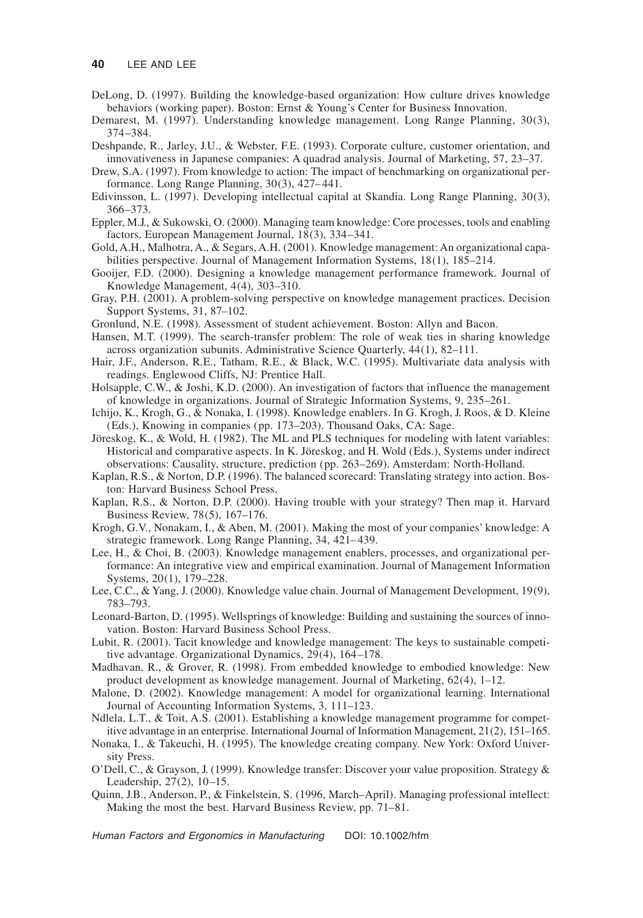- DeLong, D. (1997). Building the knowledge-based organization: How culture drives knowledge behaviors (working paper). Boston: Ernst & Young's Center for Business Innovation.
- Demarest, M. (1997). Understanding knowledge management. Long Range Planning, 30(3), 374–384.
- Deshpande, R., Jarley, J.U., & Webster, F.E. (1993). Corporate culture, customer orientation, and innovativeness in Japanese companies: A quadrad analysis. Journal of Marketing, 57, 23–37.
- Drew, S.A. (1997). From knowledge to action: The impact of benchmarking on organizational performance. Long Range Planning, 30(3), 427– 441.
- Edivinsson, L. (1997). Developing intellectual capital at Skandia. Long Range Planning, 30(3), 366–373.
- Eppler, M.J., & Sukowski, O. (2000). Managing team knowledge: Core processes, tools and enabling factors. European Management Journal, 18(3), 334–341.
- Gold, A.H., Malhotra, A., & Segars, A.H. (2001). Knowledge management: An organizational capabilities perspective. Journal of Management Information Systems, 18(1), 185–214.
- Gooijer, F.D. (2000). Designing a knowledge management performance framework. Journal of Knowledge Management, 4(4), 303–310.
- Gray, P.H. (2001). A problem-solving perspective on knowledge management practices. Decision Support Systems, 31, 87–102.
- Gronlund, N.E. (1998). Assessment of student achievement. Boston: Allyn and Bacon.
- Hansen, M.T. (1999). The search-transfer problem: The role of weak ties in sharing knowledge across organization subunits. Administrative Science Quarterly, 44(1), 82–111.
- Hair, J.F., Anderson, R.E., Tatham, R.E., & Black, W.C. (1995). Multivariate data analysis with readings. Englewood Cliffs, NJ: Prentice Hall.
- Holsapple, C.W., & Joshi, K.D. (2000). An investigation of factors that influence the management of knowledge in organizations. Journal of Strategic Information Systems, 9, 235–261.
- Ichijo, K., Krogh, G., & Nonaka, I. (1998). Knowledge enablers. In G. Krogh, J. Roos, & D. Kleine (Eds.), Knowing in companies (pp. 173–203). Thousand Oaks, CA: Sage.
- Jöreskog, K., & Wold, H. (1982). The ML and PLS techniques for modeling with latent variables: Historical and comparative aspects. In K. Jöreskog, and H. Wold (Eds.), Systems under indirect observations: Causality, structure, prediction (pp. 263–269). Amsterdam: North-Holland.
- Kaplan, R.S., & Norton, D.P. (1996). The balanced scorecard: Translating strategy into action. Boston: Harvard Business School Press.
- Kaplan, R.S., & Norton, D.P. (2000). Having trouble with your strategy? Then map it. Harvard Business Review, 78(5), 167–176.
- Krogh, G.V., Nonakam, I., & Aben, M. (2001). Making the most of your companies' knowledge: A strategic framework. Long Range Planning, 34, 421-439.
- Lee, H., & Choi, B. (2003). Knowledge management enablers, processes, and organizational performance: An integrative view and empirical examination. Journal of Management Information Systems, 20(1), 179–228.
- Lee, C.C., & Yang, J. (2000). Knowledge value chain. Journal of Management Development, 19(9), 783–793.
- Leonard-Barton, D. (1995). Wellsprings of knowledge: Building and sustaining the sources of innovation. Boston: Harvard Business School Press.
- Lubit, R. (2001). Tacit knowledge and knowledge management: The keys to sustainable competitive advantage. Organizational Dynamics, 29(4), 164–178.
- Madhavan, R., & Grover, R. (1998). From embedded knowledge to embodied knowledge: New product development as knowledge management. Journal of Marketing, 62(4), 1–12.
- Malone, D. (2002). Knowledge management: A model for organizational learning. International Journal of Accounting Information Systems, 3, 111–123.
- Ndlela, L.T., & Toit, A.S. (2001). Establishing a knowledge management programme for competitive advantage in an enterprise. International Journal of Information Management, 21(2), 151–165.
- Nonaka, I., & Takeuchi, H. (1995). The knowledge creating company. New York: Oxford University Press.
- O'Dell, C., & Grayson, J. (1999). Knowledge transfer: Discover your value proposition. Strategy & Leadership, 27(2), 10–15.
- Quinn, J.B., Anderson, P., & Finkelstein, S. (1996, March–April). Managing professional intellect: Making the most the best. Harvard Business Review, pp. 71–81.